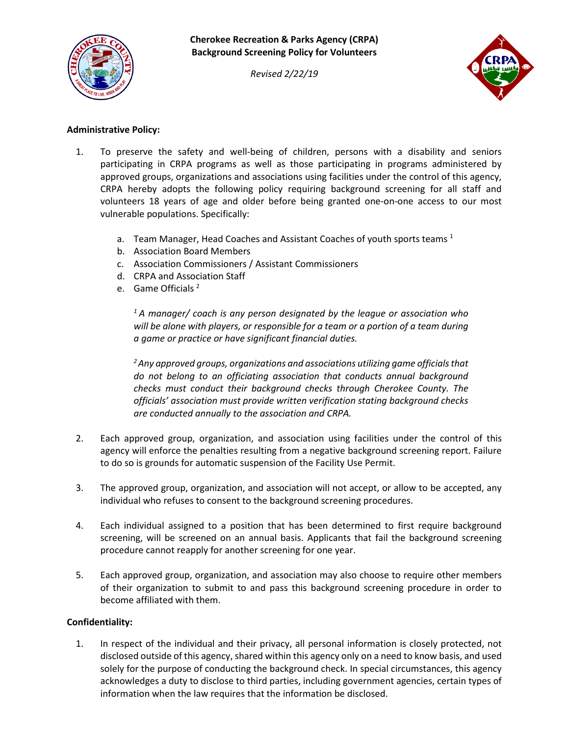

**Cherokee Recreation & Parks Agency (CRPA) Background Screening Policy for Volunteers**

*Revised 2/22/19*



# **Administrative Policy:**

- 1. To preserve the safety and well-being of children, persons with a disability and seniors participating in CRPA programs as well as those participating in programs administered by approved groups, organizations and associations using facilities under the control of this agency, CRPA hereby adopts the following policy requiring background screening for all staff and volunteers 18 years of age and older before being granted one-on-one access to our most vulnerable populations. Specifically:
	- a. Team Manager, Head Coaches and Assistant Coaches of youth sports teams  $<sup>1</sup>$ </sup>
	- b. Association Board Members
	- c. Association Commissioners / Assistant Commissioners
	- d. CRPA and Association Staff
	- e. Game Officials<sup>2</sup>

*1 A manager/ coach is any person designated by the league or association who will be alone with players, or responsible for a team or a portion of a team during a game or practice or have significant financial duties.*

*2 Any approved groups, organizations and associations utilizing game officials that do not belong to an officiating association that conducts annual background checks must conduct their background checks through Cherokee County. The officials' association must provide written verification stating background checks are conducted annually to the association and CRPA.*

- 2. Each approved group, organization, and association using facilities under the control of this agency will enforce the penalties resulting from a negative background screening report. Failure to do so is grounds for automatic suspension of the Facility Use Permit.
- 3. The approved group, organization, and association will not accept, or allow to be accepted, any individual who refuses to consent to the background screening procedures.
- 4. Each individual assigned to a position that has been determined to first require background screening, will be screened on an annual basis. Applicants that fail the background screening procedure cannot reapply for another screening for one year.
- 5. Each approved group, organization, and association may also choose to require other members of their organization to submit to and pass this background screening procedure in order to become affiliated with them.

### **Confidentiality:**

1. In respect of the individual and their privacy, all personal information is closely protected, not disclosed outside of this agency, shared within this agency only on a need to know basis, and used solely for the purpose of conducting the background check. In special circumstances, this agency acknowledges a duty to disclose to third parties, including government agencies, certain types of information when the law requires that the information be disclosed.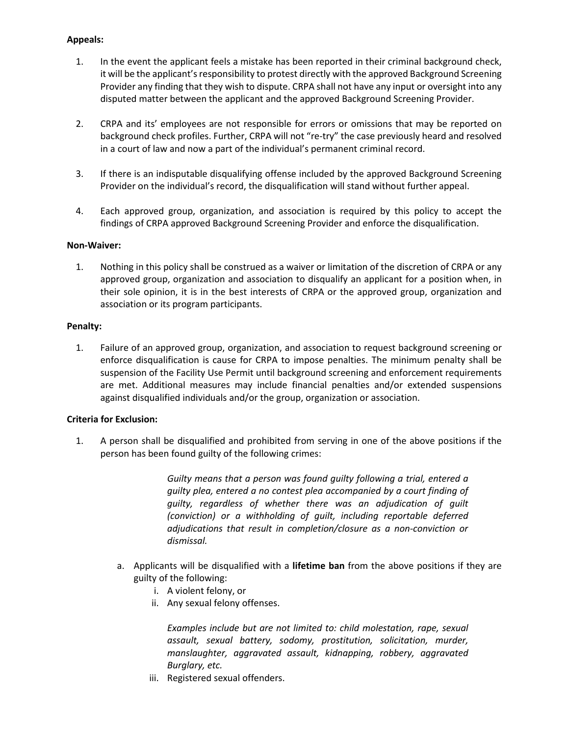## **Appeals:**

- 1. In the event the applicant feels a mistake has been reported in their criminal background check, it will be the applicant's responsibility to protest directly with the approved Background Screening Provider any finding that they wish to dispute. CRPA shall not have any input or oversight into any disputed matter between the applicant and the approved Background Screening Provider.
- 2. CRPA and its' employees are not responsible for errors or omissions that may be reported on background check profiles. Further, CRPA will not "re-try" the case previously heard and resolved in a court of law and now a part of the individual's permanent criminal record.
- 3. If there is an indisputable disqualifying offense included by the approved Background Screening Provider on the individual's record, the disqualification will stand without further appeal.
- 4. Each approved group, organization, and association is required by this policy to accept the findings of CRPA approved Background Screening Provider and enforce the disqualification.

### **Non-Waiver:**

1. Nothing in this policy shall be construed as a waiver or limitation of the discretion of CRPA or any approved group, organization and association to disqualify an applicant for a position when, in their sole opinion, it is in the best interests of CRPA or the approved group, organization and association or its program participants.

#### **Penalty:**

1. Failure of an approved group, organization, and association to request background screening or enforce disqualification is cause for CRPA to impose penalties. The minimum penalty shall be suspension of the Facility Use Permit until background screening and enforcement requirements are met. Additional measures may include financial penalties and/or extended suspensions against disqualified individuals and/or the group, organization or association.

### **Criteria for Exclusion:**

1. A person shall be disqualified and prohibited from serving in one of the above positions if the person has been found guilty of the following crimes:

> *Guilty means that a person was found guilty following a trial, entered a guilty plea, entered a no contest plea accompanied by a court finding of guilty, regardless of whether there was an adjudication of guilt (conviction) or a withholding of guilt, including reportable deferred adjudications that result in completion/closure as a non-conviction or dismissal.*

- a. Applicants will be disqualified with a **lifetime ban** from the above positions if they are guilty of the following:
	- i. A violent felony, or
	- ii. Any sexual felony offenses.

*Examples include but are not limited to: child molestation, rape, sexual assault, sexual battery, sodomy, prostitution, solicitation, murder, manslaughter, aggravated assault, kidnapping, robbery, aggravated Burglary, etc.*

iii. Registered sexual offenders.